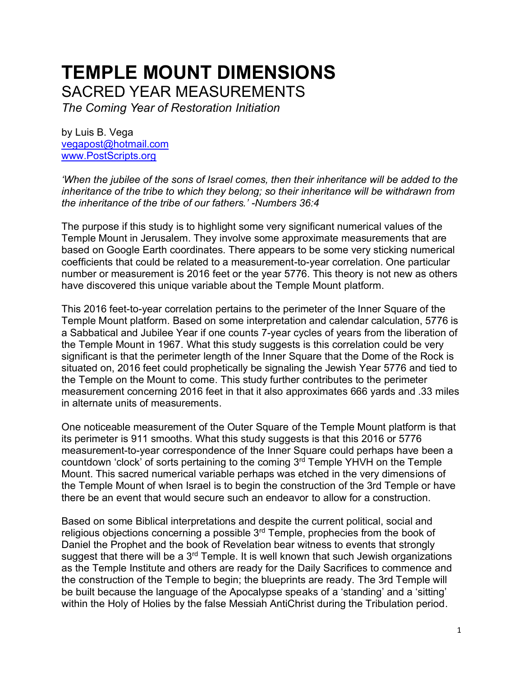## **TEMPLE MOUNT DIMENSIONS** SACRED YEAR MEASUREMENTS

*The Coming Year of Restoration Initiation*

by Luis B. Vega [vegapost@hotmail.com](mailto:vegapost@hotmail.com) [www.PostScripts.org](http://www.postscripts.org/)

*'When the jubilee of the sons of Israel comes, then their inheritance will be added to the inheritance of the tribe to which they belong; so their inheritance will be withdrawn from the inheritance of the tribe of our fathers.' -Numbers 36:4* 

The purpose if this study is to highlight some very significant numerical values of the Temple Mount in Jerusalem. They involve some approximate measurements that are based on Google Earth coordinates. There appears to be some very sticking numerical coefficients that could be related to a measurement-to-year correlation. One particular number or measurement is 2016 feet or the year 5776. This theory is not new as others have discovered this unique variable about the Temple Mount platform.

This 2016 feet-to-year correlation pertains to the perimeter of the Inner Square of the Temple Mount platform. Based on some interpretation and calendar calculation, 5776 is a Sabbatical and Jubilee Year if one counts 7-year cycles of years from the liberation of the Temple Mount in 1967. What this study suggests is this correlation could be very significant is that the perimeter length of the Inner Square that the Dome of the Rock is situated on, 2016 feet could prophetically be signaling the Jewish Year 5776 and tied to the Temple on the Mount to come. This study further contributes to the perimeter measurement concerning 2016 feet in that it also approximates 666 yards and .33 miles in alternate units of measurements.

One noticeable measurement of the Outer Square of the Temple Mount platform is that its perimeter is 911 smooths. What this study suggests is that this 2016 or 5776 measurement-to-year correspondence of the Inner Square could perhaps have been a countdown 'clock' of sorts pertaining to the coming  $3<sup>rd</sup>$  Temple YHVH on the Temple Mount. This sacred numerical variable perhaps was etched in the very dimensions of the Temple Mount of when Israel is to begin the construction of the 3rd Temple or have there be an event that would secure such an endeavor to allow for a construction.

Based on some Biblical interpretations and despite the current political, social and religious objections concerning a possible 3rd Temple, prophecies from the book of Daniel the Prophet and the book of Revelation bear witness to events that strongly suggest that there will be a  $3<sup>rd</sup>$  Temple. It is well known that such Jewish organizations as the Temple Institute and others are ready for the Daily Sacrifices to commence and the construction of the Temple to begin; the blueprints are ready. The 3rd Temple will be built because the language of the Apocalypse speaks of a 'standing' and a 'sitting' within the Holy of Holies by the false Messiah AntiChrist during the Tribulation period.